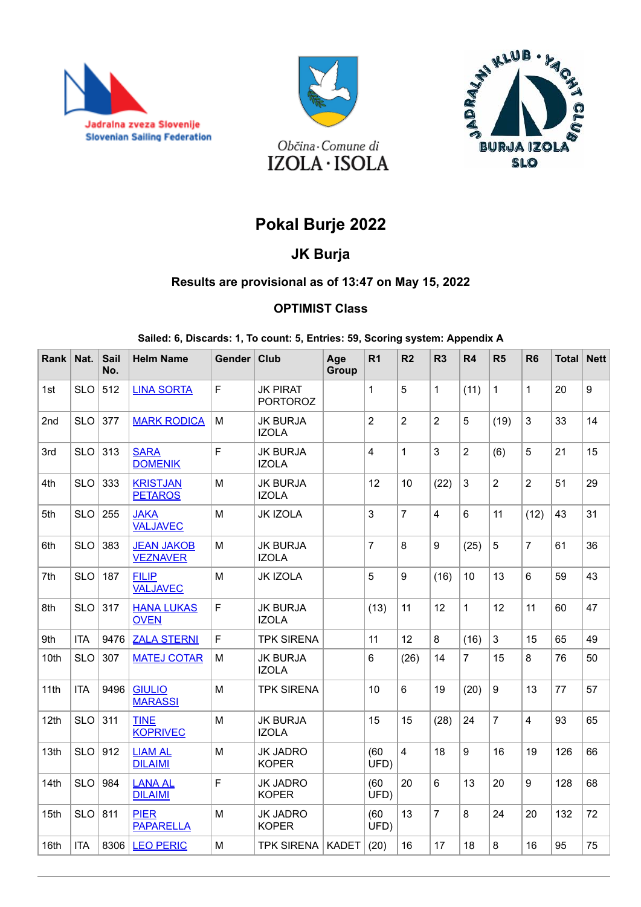





# **Pokal Burje 2022**

### **JK Burja**

## **Results are provisional as of 13:47 on May 15, 2022**

### **OPTIMIST Class**

**Sailed: 6, Discards: 1, To count: 5, Entries: 59, Scoring system: Appendix A**

| Rank | Nat.       | <b>Sail</b><br>No. | <b>Helm Name</b>                     | <b>Gender</b>  | Club                               | Age<br>Group | R <sub>1</sub> | R <sub>2</sub> | R <sub>3</sub> | R4             | R <sub>5</sub>   | R <sub>6</sub>   | <b>Total</b> | <b>Nett</b> |
|------|------------|--------------------|--------------------------------------|----------------|------------------------------------|--------------|----------------|----------------|----------------|----------------|------------------|------------------|--------------|-------------|
| 1st  | <b>SLO</b> | 512                | <b>LINA SORTA</b>                    | $\overline{F}$ | <b>JK PIRAT</b><br><b>PORTOROZ</b> |              | $\mathbf{1}$   | 5              | $\mathbf{1}$   | (11)           | $\mathbf{1}$     | $\mathbf{1}$     | 20           | 9           |
| 2nd  | <b>SLO</b> | 377                | <b>MARK RODICA</b>                   | M              | <b>JK BURJA</b><br><b>IZOLA</b>    |              | $\overline{2}$ | $\overline{2}$ | $\overline{c}$ | 5              | (19)             | 3                | 33           | 14          |
| 3rd  | <b>SLO</b> | 313                | <b>SARA</b><br><b>DOMENIK</b>        | F              | <b>JK BURJA</b><br><b>IZOLA</b>    |              | 4              | $\mathbf{1}$   | 3              | $\overline{2}$ | (6)              | 5                | 21           | 15          |
| 4th  | <b>SLO</b> | 333                | <b>KRISTJAN</b><br><b>PETAROS</b>    | M              | <b>JK BURJA</b><br><b>IZOLA</b>    |              | 12             | 10             | (22)           | 3              | $\overline{2}$   | $\overline{2}$   | 51           | 29          |
| 5th  | <b>SLO</b> | 255                | <b>JAKA</b><br><b>VALJAVEC</b>       | M              | <b>JK IZOLA</b>                    |              | 3              | $\overline{7}$ | 4              | 6              | 11               | (12)             | 43           | 31          |
| 6th  | <b>SLO</b> | 383                | <b>JEAN JAKOB</b><br><b>VEZNAVER</b> | M              | <b>JK BURJA</b><br><b>IZOLA</b>    |              | $\overline{7}$ | 8              | 9              | (25)           | 5                | $\overline{7}$   | 61           | 36          |
| 7th  | <b>SLO</b> | 187                | <b>FILIP</b><br><b>VALJAVEC</b>      | M              | <b>JK IZOLA</b>                    |              | 5              | 9              | (16)           | 10             | 13               | 6                | 59           | 43          |
| 8th  | <b>SLO</b> | 317                | <b>HANA LUKAS</b><br><b>OVEN</b>     | F              | <b>JK BURJA</b><br><b>IZOLA</b>    |              | (13)           | 11             | 12             | $\mathbf{1}$   | 12               | 11               | 60           | 47          |
| 9th  | <b>ITA</b> | 9476               | <b>ZALA STERNI</b>                   | F              | <b>TPK SIRENA</b>                  |              | 11             | 12             | 8              | (16)           | 3                | 15               | 65           | 49          |
| 10th | <b>SLO</b> | 307                | <b>MATEJ COTAR</b>                   | M              | <b>JK BURJA</b><br><b>IZOLA</b>    |              | 6              | (26)           | 14             | $\overline{7}$ | 15               | 8                | 76           | 50          |
| 11th | <b>ITA</b> | 9496               | <b>GIULIO</b><br><b>MARASSI</b>      | M              | <b>TPK SIRENA</b>                  |              | 10             | 6              | 19             | (20)           | $\boldsymbol{9}$ | 13               | 77           | 57          |
| 12th | <b>SLO</b> | 311                | <b>TINE</b><br><b>KOPRIVEC</b>       | M              | <b>JK BURJA</b><br><b>IZOLA</b>    |              | 15             | 15             | (28)           | 24             | $\overline{7}$   | $\overline{4}$   | 93           | 65          |
| 13th | <b>SLO</b> | 912                | <b>LIAM AL</b><br><b>DILAIMI</b>     | M              | <b>JK JADRO</b><br><b>KOPER</b>    |              | (60)<br>UFD)   | 4              | 18             | 9              | 16               | 19               | 126          | 66          |
| 14th | <b>SLO</b> | 984                | <b>LANA AL</b><br><b>DILAIMI</b>     | $\overline{F}$ | <b>JK JADRO</b><br><b>KOPER</b>    |              | (60)<br>UFD)   | 20             | 6              | 13             | 20               | $\boldsymbol{9}$ | 128          | 68          |
| 15th | <b>SLO</b> | 811                | <b>PIER</b><br><b>PAPARELLA</b>      | M              | <b>JK JADRO</b><br><b>KOPER</b>    |              | (60)<br>UFD)   | 13             | $\overline{7}$ | 8              | 24               | 20               | 132          | 72          |
| 16th | <b>ITA</b> | 8306               | <b>LEO PERIC</b>                     | M              | <b>TPK SIRENA</b>                  | <b>KADET</b> | (20)           | 16             | 17             | 18             | 8                | 16               | 95           | 75          |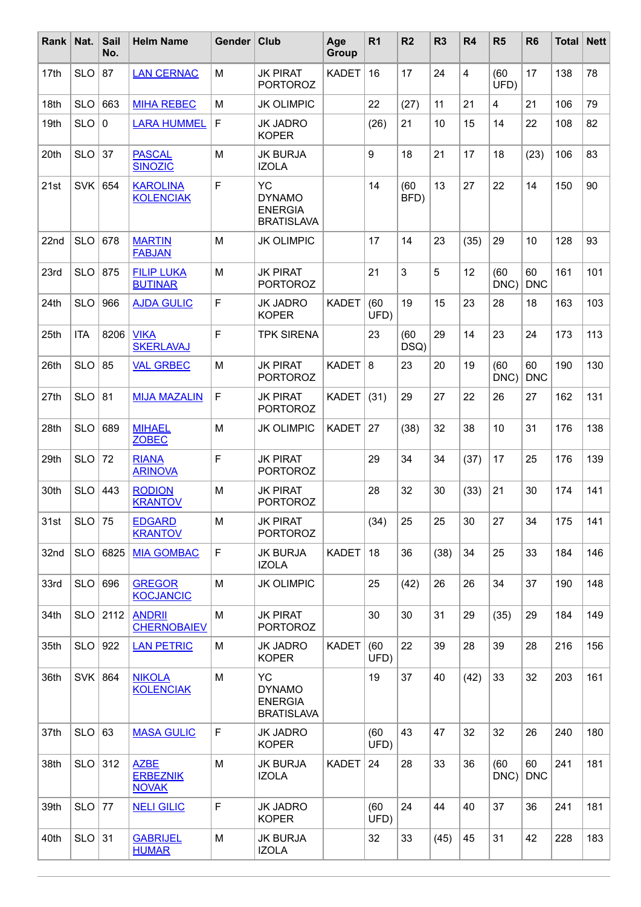| Rank | Nat.       | Sail<br>No. | <b>Helm Name</b>                               | Gender | Club                                                              | Age<br>Group | R <sub>1</sub> | R <sub>2</sub> | R <sub>3</sub> | R <sub>4</sub> | R5           | R <sub>6</sub>   | <b>Total</b> | <b>Nett</b> |
|------|------------|-------------|------------------------------------------------|--------|-------------------------------------------------------------------|--------------|----------------|----------------|----------------|----------------|--------------|------------------|--------------|-------------|
| 17th | <b>SLO</b> | 87          | <b>LAN CERNAC</b>                              | M      | <b>JK PIRAT</b><br><b>PORTOROZ</b>                                | <b>KADET</b> | 16             | 17             | 24             | 4              | (60)<br>UFD) | 17               | 138          | 78          |
| 18th | <b>SLO</b> | 663         | <b>MIHA REBEC</b>                              | М      | <b>JK OLIMPIC</b>                                                 |              | 22             | (27)           | 11             | 21             | 4            | 21               | 106          | 79          |
| 19th | <b>SLO</b> | 0           | <b>LARA HUMMEL</b>                             | F      | <b>JK JADRO</b><br><b>KOPER</b>                                   |              | (26)           | 21             | 10             | 15             | 14           | 22               | 108          | 82          |
| 20th | <b>SLO</b> | 37          | <b>PASCAL</b><br><b>SINOZIC</b>                | M      | <b>JK BURJA</b><br><b>IZOLA</b>                                   |              | 9              | 18             | 21             | 17             | 18           | (23)             | 106          | 83          |
| 21st | <b>SVK</b> | 654         | <b>KAROLINA</b><br><b>KOLENCIAK</b>            | F      | <b>YC</b><br><b>DYNAMO</b><br><b>ENERGIA</b><br><b>BRATISLAVA</b> |              | 14             | (60)<br>BFD)   | 13             | 27             | 22           | 14               | 150          | 90          |
| 22nd | <b>SLO</b> | 678         | <b>MARTIN</b><br><b>FABJAN</b>                 | M      | <b>JK OLIMPIC</b>                                                 |              | 17             | 14             | 23             | (35)           | 29           | 10               | 128          | 93          |
| 23rd | <b>SLO</b> | 875         | <b>FILIP LUKA</b><br><b>BUTINAR</b>            | M      | <b>JK PIRAT</b><br><b>PORTOROZ</b>                                |              | 21             | 3              | 5              | 12             | (60)<br>DNC) | 60<br><b>DNC</b> | 161          | 101         |
| 24th | <b>SLO</b> | 966         | <b>AJDA GULIC</b>                              | F      | <b>JK JADRO</b><br><b>KOPER</b>                                   | <b>KADET</b> | (60)<br>UFD)   | 19             | 15             | 23             | 28           | 18               | 163          | 103         |
| 25th | <b>ITA</b> | 8206        | <b>VIKA</b><br><b>SKERLAVAJ</b>                | F      | <b>TPK SIRENA</b>                                                 |              | 23             | (60)<br>DSQ)   | 29             | 14             | 23           | 24               | 173          | 113         |
| 26th | <b>SLO</b> | 85          | <b>VAL GRBEC</b>                               | M      | <b>JK PIRAT</b><br><b>PORTOROZ</b>                                | <b>KADET</b> | 8              | 23             | 20             | 19             | (60)<br>DNC) | 60<br><b>DNC</b> | 190          | 130         |
| 27th | <b>SLO</b> | 81          | <b>MIJA MAZALIN</b>                            | F      | <b>JK PIRAT</b><br><b>PORTOROZ</b>                                | <b>KADET</b> | (31)           | 29             | 27             | 22             | 26           | 27               | 162          | 131         |
| 28th | <b>SLO</b> | 689         | <b>MIHAEL</b><br><b>ZOBEC</b>                  | M      | <b>JK OLIMPIC</b>                                                 | <b>KADET</b> | 27             | (38)           | 32             | 38             | 10           | 31               | 176          | 138         |
| 29th | <b>SLO</b> | 72          | <b>RIANA</b><br><b>ARINOVA</b>                 | F      | <b>JK PIRAT</b><br><b>PORTOROZ</b>                                |              | 29             | 34             | 34             | (37)           | 17           | 25               | 176          | 139         |
| 30th | <b>SLO</b> | 443         | <b>RODION</b><br><b>KRANTOV</b>                | M      | <b>JK PIRAT</b><br><b>PORTOROZ</b>                                |              | 28             | 32             | 30             | (33)           | 21           | 30               | 174          | 141         |
| 31st | <b>SLO</b> | 75          | <b>EDGARD</b><br><b>KRANTOV</b>                | M      | <b>JK PIRAT</b><br><b>PORTOROZ</b>                                |              | (34)           | 25             | 25             | 30             | 27           | 34               | 175          | 141         |
| 32nd | <b>SLO</b> | 6825        | <b>MIA GOMBAC</b>                              | F      | <b>JK BURJA</b><br><b>IZOLA</b>                                   | <b>KADET</b> | 18             | 36             | (38)           | 34             | 25           | 33               | 184          | 146         |
| 33rd | <b>SLO</b> | 696         | <b>GREGOR</b><br><b>KOCJANCIC</b>              | M      | <b>JK OLIMPIC</b>                                                 |              | 25             | (42)           | 26             | 26             | 34           | 37               | 190          | 148         |
| 34th | <b>SLO</b> | 2112        | <b>ANDRII</b><br><b>CHERNOBAIEV</b>            | M      | <b>JK PIRAT</b><br><b>PORTOROZ</b>                                |              | 30             | 30             | 31             | 29             | (35)         | 29               | 184          | 149         |
| 35th | <b>SLO</b> | 922         | <b>LAN PETRIC</b>                              | M      | <b>JK JADRO</b><br><b>KOPER</b>                                   | <b>KADET</b> | (60)<br>UFD)   | 22             | 39             | 28             | 39           | 28               | 216          | 156         |
| 36th | SVK        | 864         | <b>NIKOLA</b><br><b>KOLENCIAK</b>              | M      | <b>YC</b><br><b>DYNAMO</b><br><b>ENERGIA</b><br><b>BRATISLAVA</b> |              | 19             | 37             | 40             | (42)           | 33           | 32               | 203          | 161         |
| 37th | <b>SLO</b> | 63          | <b>MASA GULIC</b>                              | F      | <b>JK JADRO</b><br><b>KOPER</b>                                   |              | (60)<br>UFD)   | 43             | 47             | 32             | 32           | 26               | 240          | 180         |
| 38th | <b>SLO</b> | 312         | <b>AZBE</b><br><b>ERBEZNIK</b><br><b>NOVAK</b> | M      | <b>JK BURJA</b><br><b>IZOLA</b>                                   | <b>KADET</b> | 24             | 28             | 33             | 36             | (60)<br>DNC) | 60<br><b>DNC</b> | 241          | 181         |
| 39th | <b>SLO</b> | 77          | <b>NELI GILIC</b>                              | F      | <b>JK JADRO</b><br><b>KOPER</b>                                   |              | (60)<br>UFD)   | 24             | 44             | 40             | 37           | 36               | 241          | 181         |
| 40th | <b>SLO</b> | 31          | <b>GABRIJEL</b><br><b>HUMAR</b>                | M      | <b>JK BURJA</b><br><b>IZOLA</b>                                   |              | 32             | 33             | (45)           | 45             | 31           | 42               | 228          | 183         |